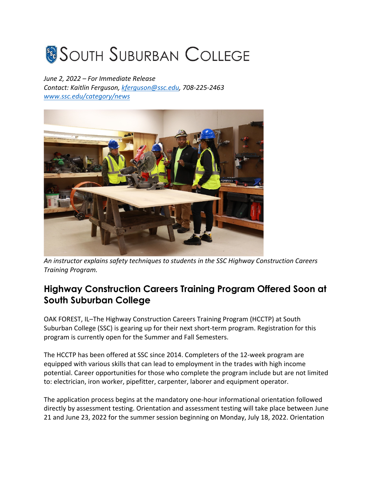## **SOUTH SUBURBAN COLLEGE**

*June 2, 2022 – For Immediate Release Contact: Kaitlin Ferguson, kferguson@ssc.edu, 708-225-2463 www.ssc.edu/category/news*



*An instructor explains safety techniques to students in the SSC Highway Construction Careers Training Program.*

## **Highway Construction Careers Training Program Offered Soon at South Suburban College**

OAK FOREST, IL–The Highway Construction Careers Training Program (HCCTP) at South Suburban College (SSC) is gearing up for their next short-term program. Registration for this program is currently open for the Summer and Fall Semesters.

The HCCTP has been offered at SSC since 2014. Completers of the 12-week program are equipped with various skills that can lead to employment in the trades with high income potential. Career opportunities for those who complete the program include but are not limited to: electrician, iron worker, pipefitter, carpenter, laborer and equipment operator.

The application process begins at the mandatory one-hour informational orientation followed directly by assessment testing. Orientation and assessment testing will take place between June 21 and June 23, 2022 for the summer session beginning on Monday, July 18, 2022. Orientation